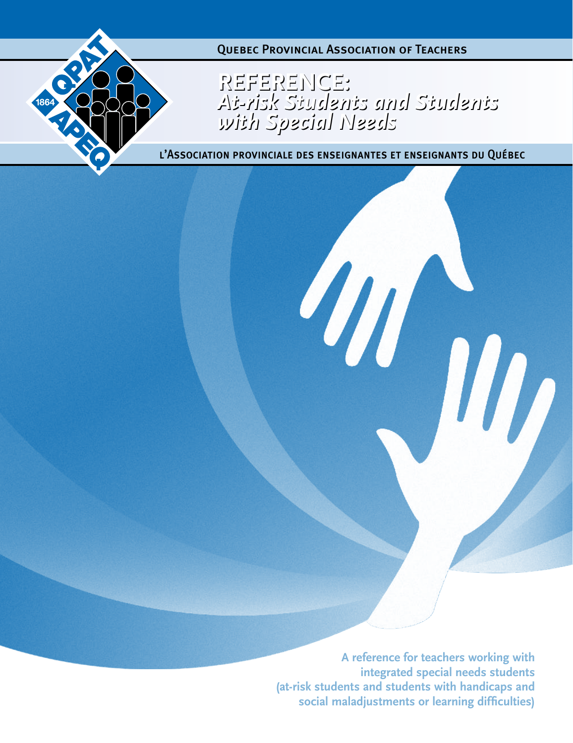

**Reference:** *At-risk Students and Students with Special Needs* **Reference:** *At-risk Students and Students with Special Needs*

l'Association provinciale des enseignantes et enseignants du Québec

**A reference for teachers working with integrated special needs students (at-risk students and students with handicaps and social maladjustments or learning difficulties)**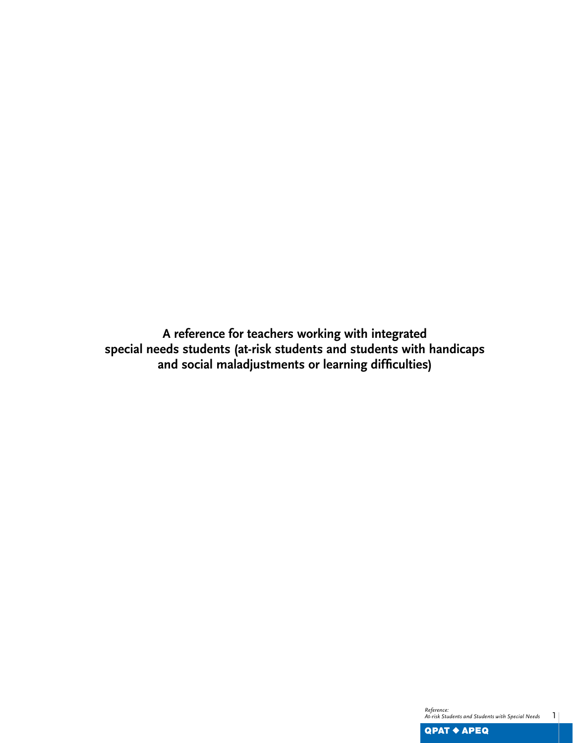**A reference for teachers working with integrated special needs students (at-risk students and students with handicaps and social maladjustments or learning difficulties)**

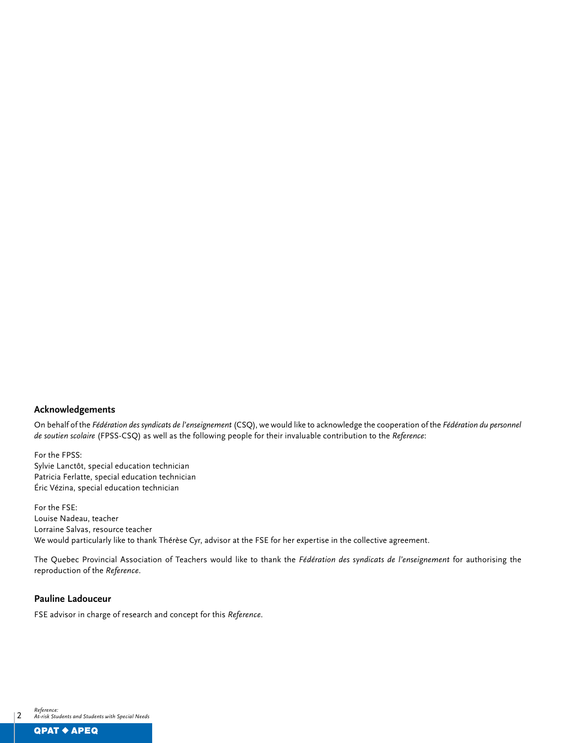#### **Acknowledgements**

On behalf of the *Fédération des syndicats de l'enseignement* (CSQ), we would like to acknowledge the cooperation of the *Fédération du personnel de soutien scolaire* (FPSS-CSQ) as well as the following people for their invaluable contribution to the *Reference*:

For the FPSS: Sylvie Lanctôt, special education technician Patricia Ferlatte, special education technician Éric Vézina, special education technician

For the FSE: Louise Nadeau, teacher Lorraine Salvas, resource teacher We would particularly like to thank Thérèse Cyr, advisor at the FSE for her expertise in the collective agreement.

The Quebec Provincial Association of Teachers would like to thank the *Fédération des syndicats de l'enseignement* for authorising the reproduction of the *Reference*.

### **Pauline Ladouceur**

FSE advisor in charge of research and concept for this *Reference*.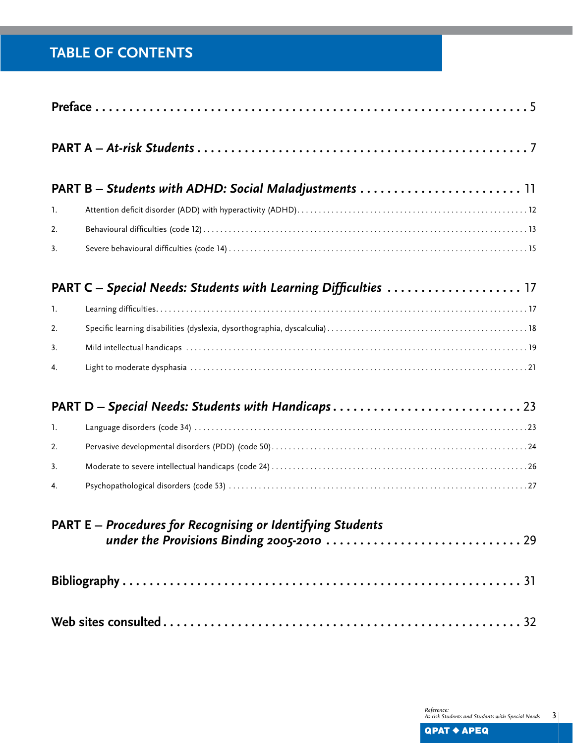# **TABLE OF CONTENTS**

|                                                             | <b>PART B</b> – Students with ADHD: Social Maladjustments $\ldots \ldots \ldots \ldots \ldots \ldots \ldots \ldots$ |  |  |
|-------------------------------------------------------------|---------------------------------------------------------------------------------------------------------------------|--|--|
| 1.                                                          |                                                                                                                     |  |  |
| 2.                                                          |                                                                                                                     |  |  |
| 3.                                                          |                                                                                                                     |  |  |
|                                                             |                                                                                                                     |  |  |
| $\mathbf{1}$ .                                              |                                                                                                                     |  |  |
| 2.                                                          |                                                                                                                     |  |  |
| 3.                                                          |                                                                                                                     |  |  |
| 4.                                                          |                                                                                                                     |  |  |
|                                                             | PART D - Special Needs: Students with Handicaps 23                                                                  |  |  |
| 1.                                                          |                                                                                                                     |  |  |
| 2.                                                          |                                                                                                                     |  |  |
| 3.                                                          |                                                                                                                     |  |  |
| 4.                                                          |                                                                                                                     |  |  |
| PART E - Procedures for Recognising or Identifying Students |                                                                                                                     |  |  |
|                                                             |                                                                                                                     |  |  |
|                                                             |                                                                                                                     |  |  |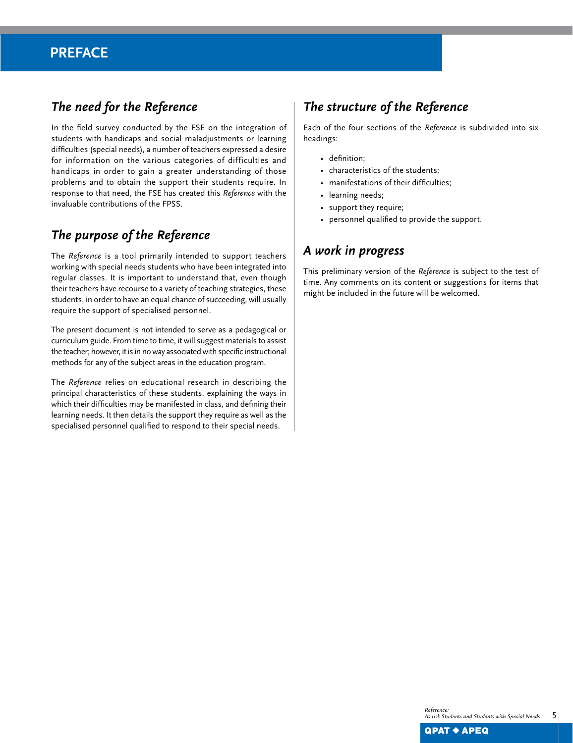## **Preface**

## *The need for the Reference*

In the field survey conducted by the FSE on the integration of students with handicaps and social maladjustments or learning difficulties (special needs), a number of teachers expressed a desire for information on the various categories of difficulties and handicaps in order to gain a greater understanding of those problems and to obtain the support their students require. In response to that need, the FSE has created this *Reference* with the invaluable contributions of the FPSS.

## *The purpose of the Reference*

The *Reference* is a tool primarily intended to support teachers working with special needs students who have been integrated into regular classes. It is important to understand that, even though their teachers have recourse to a variety of teaching strategies, these students, in order to have an equal chance of succeeding, will usually require the support of specialised personnel.

The present document is not intended to serve as a pedagogical or curriculum guide. From time to time, it will suggest materials to assist the teacher; however, it is in no way associated with specific instructional methods for any of the subject areas in the education program.

The *Reference* relies on educational research in describing the principal characteristics of these students, explaining the ways in which their difficulties may be manifested in class, and defining their learning needs. It then details the support they require as well as the specialised personnel qualified to respond to their special needs.

## *The structure of the Reference*

Each of the four sections of the *Reference* is subdivided into six headings:

- definition;
- characteristics of the students;
- manifestations of their difficulties;
- learning needs;
- support they require;
- personnel qualified to provide the support.

## *A work in progress*

This preliminary version of the *Reference* is subject to the test of time. Any comments on its content or suggestions for items that might be included in the future will be welcomed.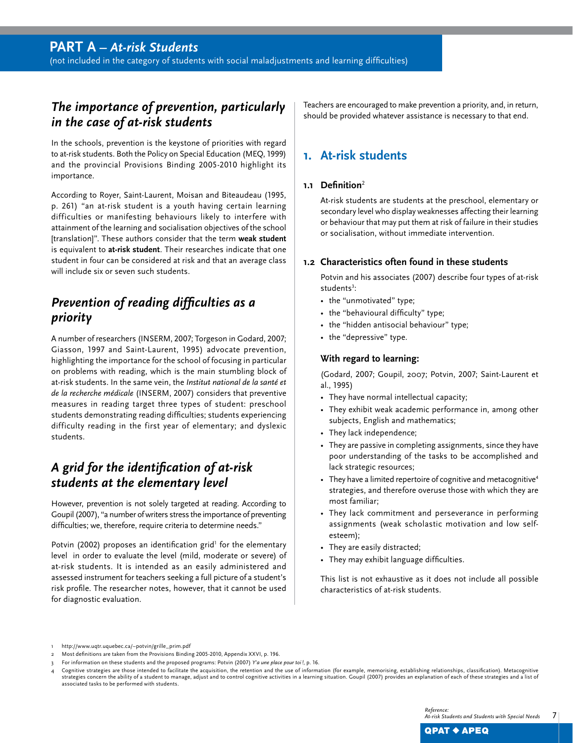(not included in the category of students with social maladjustments and learning difficulties)

## *The importance of prevention, particularly in the case of at-risk students*

In the schools, prevention is the keystone of priorities with regard to at-risk students. Both the Policy on Special Education (MEQ, 1999) and the provincial Provisions Binding 2005-2010 highlight its importance.

According to Royer, Saint-Laurent, Moisan and Biteaudeau (1995, p. 261) "an at-risk student is a youth having certain learning difficulties or manifesting behaviours likely to interfere with attainment of the learning and socialisation objectives of the school [translation]". These authors consider that the term **weak student**  is equivalent to **at-risk student**. Their researches indicate that one student in four can be considered at risk and that an average class will include six or seven such students.

## *Prevention of reading difficulties as a priority*

A number of researchers (INSERM, 2007; Torgeson in Godard, 2007; Giasson, 1997 and Saint-Laurent, 1995) advocate prevention, highlighting the importance for the school of focusing in particular on problems with reading, which is the main stumbling block of at-risk students. In the same vein, the *Institut national de la santé et de la recherche médicale* (INSERM, 2007) considers that preventive measures in reading target three types of student: preschool students demonstrating reading difficulties; students experiencing difficulty reading in the first year of elementary; and dyslexic students.

## *A grid for the identification of at-risk students at the elementary level*

However, prevention is not solely targeted at reading. According to Goupil (2007), "a number of writers stress the importance of preventing difficulties; we, therefore, require criteria to determine needs."

Potvin (2002) proposes an identification grid<sup>1</sup> for the elementary level in order to evaluate the level (mild, moderate or severe) of at-risk students. It is intended as an easily administered and assessed instrument for teachers seeking a full picture of a student's risk profile. The researcher notes, however, that it cannot be used for diagnostic evaluation.

Teachers are encouraged to make prevention a priority, and, in return, should be provided whatever assistance is necessary to that end.

## **1. At-risk students**

## **1.1 Definition**<sup>2</sup>

At-risk students are students at the preschool, elementary or secondary level who display weaknesses affecting their learning or behaviour that may put them at risk of failure in their studies or socialisation, without immediate intervention.

### **1.2 Characteristics often found in these students**

Potvin and his associates (2007) describe four types of at-risk students<sup>3</sup>:

- the "unmotivated" type;
- the "behavioural difficulty" type;
- the "hidden antisocial behaviour" type;
- the "depressive" type.

#### **With regard to learning:**

(Godard, 2007; Goupil, 2007; Potvin, 2007; Saint-Laurent et al., 1995)

- They have normal intellectual capacity;
- They exhibit weak academic performance in, among other subjects, English and mathematics;
- They lack independence;
- They are passive in completing assignments, since they have poor understanding of the tasks to be accomplished and lack strategic resources;
- They have a limited repertoire of cognitive and metacognitive<sup>4</sup> strategies, and therefore overuse those with which they are most familiar;
- They lack commitment and perseverance in performing assignments (weak scholastic motivation and low selfesteem);
- They are easily distracted;
- They may exhibit language difficulties.

This list is not exhaustive as it does not include all possible characteristics of at-risk students.

1 http://www.uqtr.uquebec.ca/~potvin/grille\_prim.pdf

<sup>2</sup> Most definitions are taken from the Provisions Binding 2005-2010, Appendix XXVI, p. 196.

<sup>3</sup> For information on these students and the proposed programs: Potvin (2007) *Y'a une place pour toi!*, p. 16.

Cognitive strategies are those intended to facilitate the acquisition, the retention and the use of information (for example, memorising, establishing relationships, classification). Metacognitive strategies concern the ability of a student to manage, adjust and to control cognitive activities in a learning situation. Goupil (2007) provides an explanation of each of these strategies and a list of associated tasks to be performed with students.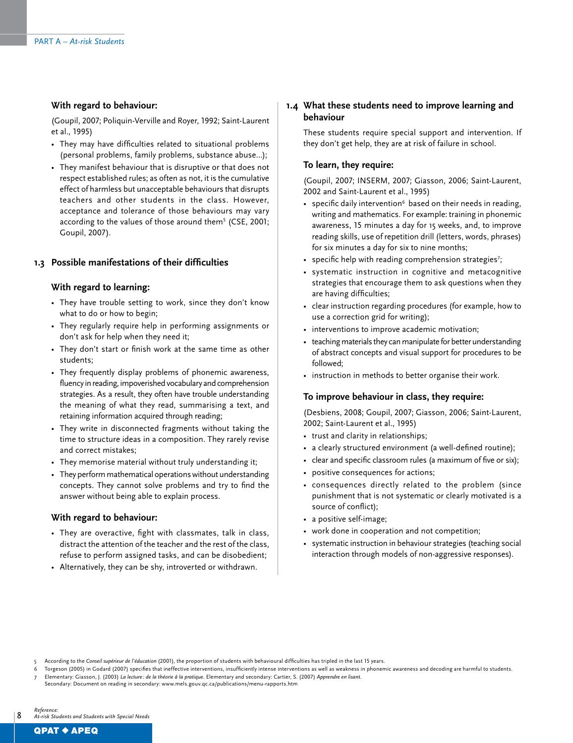#### **With regard to behaviour:**

(Goupil, 2007; Poliquin-Verville and Royer, 1992; Saint-Laurent et al., 1995)

- They may have difficulties related to situational problems (personal problems, family problems, substance abuse…);
- They manifest behaviour that is disruptive or that does not respect established rules; as often as not, it is the cumulative effect of harmless but unacceptable behaviours that disrupts teachers and other students in the class. However, acceptance and tolerance of those behaviours may vary according to the values of those around them<sup>5</sup> (CSE, 2001; Goupil, 2007).

## **1.3 Possible manifestations of their difficulties**

#### **With regard to learning:**

- They have trouble setting to work, since they don't know what to do or how to begin;
- They regularly require help in performing assignments or don't ask for help when they need it;
- They don't start or finish work at the same time as other students;
- They frequently display problems of phonemic awareness, fluency in reading, impoverished vocabulary and comprehension strategies. As a result, they often have trouble understanding the meaning of what they read, summarising a text, and retaining information acquired through reading;
- They write in disconnected fragments without taking the time to structure ideas in a composition. They rarely revise and correct mistakes;
- They memorise material without truly understanding it;
- They perform mathematical operations without understanding concepts. They cannot solve problems and try to find the answer without being able to explain process.

#### **With regard to behaviour:**

- They are overactive, fight with classmates, talk in class, distract the attention of the teacher and the rest of the class, refuse to perform assigned tasks, and can be disobedient;
- Alternatively, they can be shy, introverted or withdrawn.

#### **1.4 What these students need to improve learning and behaviour**

These students require special support and intervention. If they don't get help, they are at risk of failure in school.

#### **To learn, they require:**

(Goupil, 2007; INSERM, 2007; Giasson, 2006; Saint-Laurent, 2002 and Saint-Laurent et al., 1995)

- specific daily intervention $6$  based on their needs in reading, writing and mathematics. For example: training in phonemic awareness, 15 minutes a day for 15 weeks, and, to improve reading skills, use of repetition drill (letters, words, phrases) for six minutes a day for six to nine months;
- specific help with reading comprehension strategies<sup>7</sup>;
- systematic instruction in cognitive and metacognitive strategies that encourage them to ask questions when they are having difficulties;
- clear instruction regarding procedures (for example, how to use a correction grid for writing);
- interventions to improve academic motivation;
- teaching materials they can manipulate for better understanding of abstract concepts and visual support for procedures to be followed;
- instruction in methods to better organise their work.

#### **To improve behaviour in class, they require:**

(Desbiens, 2008; Goupil, 2007; Giasson, 2006; Saint-Laurent, 2002; Saint-Laurent et al., 1995)

- trust and clarity in relationships;
- a clearly structured environment (a well-defined routine);
- clear and specific classroom rules (a maximum of five or six);
- positive consequences for actions;
- consequences directly related to the problem (since punishment that is not systematic or clearly motivated is a source of conflict);
- a positive self-image;
- work done in cooperation and not competition;
- systematic instruction in behaviour strategies (teaching social interaction through models of non-aggressive responses).

<sup>5</sup> According to the *Conseil supérieur de l'éducation* (2001), the proportion of students with behavioural difficulties has tripled in the last 15 years.

<sup>6</sup> Torgeson (2005) in Godard (2007) specifies that ineffective interventions, insufficiently intense interventions as well as weakness in phonemic awareness and decoding are harmful to students. 7 Elementary: Giasson, J. (2003) *La lecture : de la théorie à la pratique*. Elementary and secondary: Cartier, S. (2007) *Apprendre en lisant*.

Secondary: Document on reading in secondary: www.mels.gouv.qc.ca/publications/menu-rapports.htm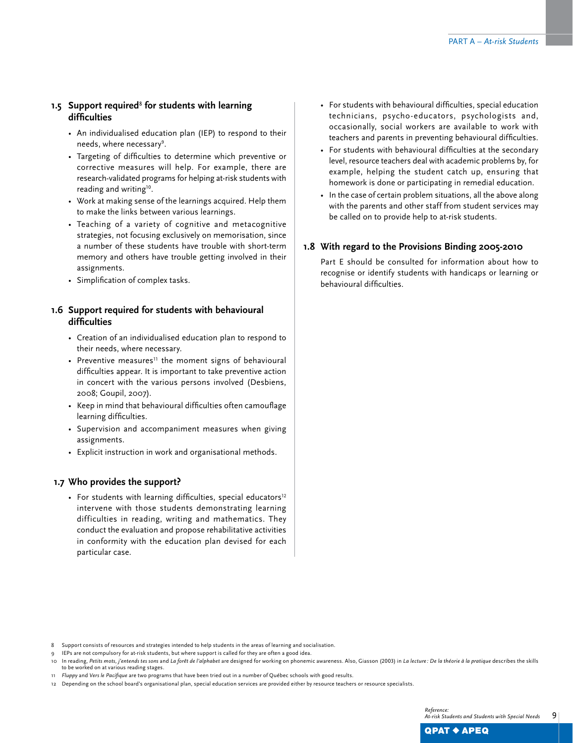## **1.5 Support required**<sup>8</sup>  **for students with learning difficulties**

- An individualised education plan (IEP) to respond to their needs, where necessary<sup>9</sup>.
- Targeting of difficulties to determine which preventive or corrective measures will help. For example, there are research-validated programs for helping at-risk students with reading and writing<sup>10</sup>.
- Work at making sense of the learnings acquired. Help them to make the links between various learnings.
- Teaching of a variety of cognitive and metacognitive strategies, not focusing exclusively on memorisation, since a number of these students have trouble with short-term memory and others have trouble getting involved in their assignments.
- Simplification of complex tasks.

## **1.6 Support required for students with behavioural difficulties**

- Creation of an individualised education plan to respond to their needs, where necessary.
- Preventive measures<sup>11</sup> the moment signs of behavioural difficulties appear. It is important to take preventive action in concert with the various persons involved (Desbiens, 2008; Goupil, 2007).
- Keep in mind that behavioural difficulties often camouflage learning difficulties.
- Supervision and accompaniment measures when giving assignments.
- Explicit instruction in work and organisational methods.

## **1.7 Who provides the support?**

• For students with learning difficulties, special educators<sup>12</sup> intervene with those students demonstrating learning difficulties in reading, writing and mathematics. They conduct the evaluation and propose rehabilitative activities in conformity with the education plan devised for each particular case.

- For students with behavioural difficulties, special education technicians, psycho-educators, psychologists and, occasionally, social workers are available to work with teachers and parents in preventing behavioural difficulties.
- For students with behavioural difficulties at the secondary level, resource teachers deal with academic problems by, for example, helping the student catch up, ensuring that homework is done or participating in remedial education.
- In the case of certain problem situations, all the above along with the parents and other staff from student services may be called on to provide help to at-risk students.

### **1.8 With regard to the Provisions Binding 2005-2010**

Part E should be consulted for information about how to recognise or identify students with handicaps or learning or behavioural difficulties.

IEPs are not compulsory for at-risk students, but where support is called for they are often a good idea.

- 11 *Fluppy* and *Vers le Pacifique* are two programs that have been tried out in a number of Québec schools with good results.
- 12 Depending on the school board's organisational plan, special education services are provided either by resource teachers or resource specialists.

<sup>8</sup> Support consists of resources and strategies intended to help students in the areas of learning and socialisation.

<sup>10</sup> In reading, Petits mots, j'entends tes sons and La forêt de l'alphabet are designed for working on phonemic awareness. Also, Giasson (2003) in La lecture: De la théorie à la pratique describes the skills to be worked on at various reading stages.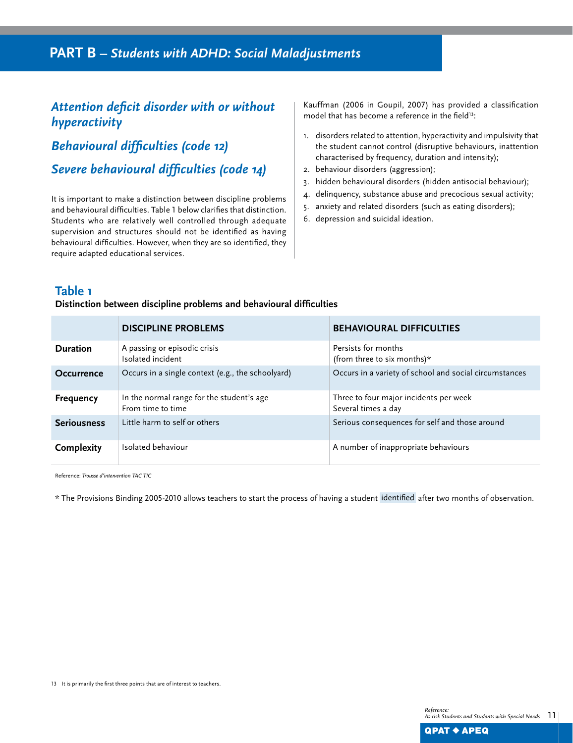## *Attention deficit disorder with or without hyperactivity*

*Behavioural difficulties (code 12)*

*Severe behavioural difficulties (code 14)*

It is important to make a distinction between discipline problems and behavioural difficulties. Table 1 below clarifies that distinction. Students who are relatively well controlled through adequate supervision and structures should not be identified as having behavioural difficulties. However, when they are so identified, they require adapted educational services.

Kauffman (2006 in Goupil, 2007) has provided a classification model that has become a reference in the field<sup>13</sup>:

- 1. disorders related to attention, hyperactivity and impulsivity that the student cannot control (disruptive behaviours, inattention characterised by frequency, duration and intensity);
- 2. behaviour disorders (aggression);
- 3. hidden behavioural disorders (hidden antisocial behaviour);
- 4. delinquency, substance abuse and precocious sexual activity;
- 5. anxiety and related disorders (such as eating disorders);
- 6. depression and suicidal ideation.

## **Table 1**

## **Distinction between discipline problems and behavioural difficulties**

|                    | <b>DISCIPLINE PROBLEMS</b>                                     | <b>BEHAVIOURAL DIFFICULTIES</b>                               |
|--------------------|----------------------------------------------------------------|---------------------------------------------------------------|
| <b>Duration</b>    | A passing or episodic crisis<br>Isolated incident              | Persists for months<br>(from three to six months) $*$         |
| Occurrence         | Occurs in a single context (e.g., the schoolyard)              | Occurs in a variety of school and social circumstances        |
| Frequency          | In the normal range for the student's age<br>From time to time | Three to four major incidents per week<br>Several times a day |
| <b>Seriousness</b> | Little harm to self or others                                  | Serious consequences for self and those around                |
| Complexity         | Isolated behaviour                                             | A number of inappropriate behaviours                          |

Reference: *Trousse d'intervention Tac Tic*

\* The Provisions Binding 2005-2010 allows teachers to start the process of having a student identified after two months of observation.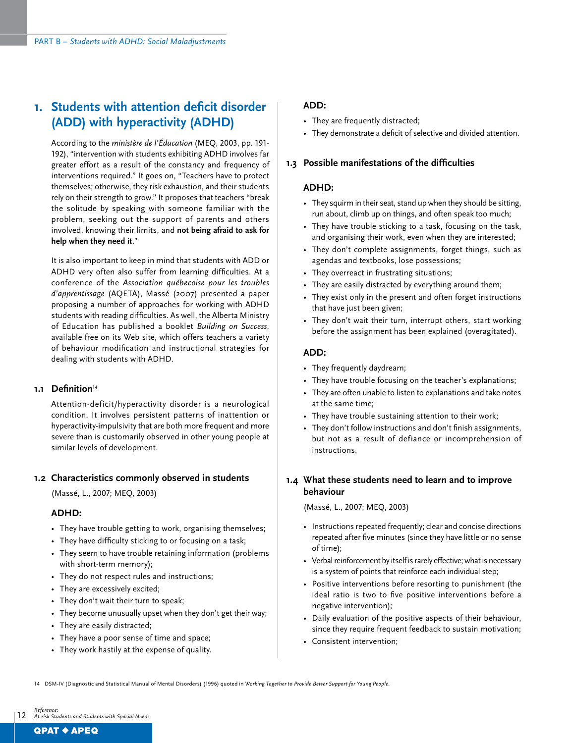## **1. Students with attention deficit disorder (ADD) with hyperactivity (ADHD)**

According to the *ministère de l'Éducation* (MEQ, 2003, pp. 191- 192), "intervention with students exhibiting ADHD involves far greater effort as a result of the constancy and frequency of interventions required." It goes on, "Teachers have to protect themselves; otherwise, they risk exhaustion, and their students rely on their strength to grow." It proposes that teachers "break the solitude by speaking with someone familiar with the problem, seeking out the support of parents and others involved, knowing their limits, and **not being afraid to ask for help when they need it**."

It is also important to keep in mind that students with ADD or ADHD very often also suffer from learning difficulties. At a conference of the *Association québecoise pour les troubles d'apprentissage* (AQETA), Massé (2007) presented a paper proposing a number of approaches for working with ADHD students with reading difficulties. As well, the Alberta Ministry of Education has published a booklet *Building on Success*, available free on its Web site, which offers teachers a variety of behaviour modification and instructional strategies for dealing with students with ADHD.

#### 1.1 Definition<sup>14</sup>

Attention-deficit/hyperactivity disorder is a neurological condition. It involves persistent patterns of inattention or hyperactivity-impulsivity that are both more frequent and more severe than is customarily observed in other young people at similar levels of development.

#### **1.2 Characteristics commonly observed in students**

(Massé, L., 2007; MEQ, 2003)

#### **ADHD:**

- They have trouble getting to work, organising themselves;
- They have difficulty sticking to or focusing on a task;
- They seem to have trouble retaining information (problems with short-term memory);
- They do not respect rules and instructions;
- They are excessively excited;
- They don't wait their turn to speak;
- They become unusually upset when they don't get their way;
- They are easily distracted;
- They have a poor sense of time and space;
- They work hastily at the expense of quality.

## **ADD:**

- They are frequently distracted;
- They demonstrate a deficit of selective and divided attention.

### **1.3 Possible manifestations of the difficulties**

### **ADHD:**

- They squirm in their seat, stand up when they should be sitting, run about, climb up on things, and often speak too much;
- They have trouble sticking to a task, focusing on the task, and organising their work, even when they are interested;
- They don't complete assignments, forget things, such as agendas and textbooks, lose possessions;
- They overreact in frustrating situations;
- They are easily distracted by everything around them;
- They exist only in the present and often forget instructions that have just been given;
- They don't wait their turn, interrupt others, start working before the assignment has been explained (overagitated).

#### **ADD:**

- They frequently daydream;
- They have trouble focusing on the teacher's explanations;
- They are often unable to listen to explanations and take notes at the same time;
- They have trouble sustaining attention to their work;
- They don't follow instructions and don't finish assignments, but not as a result of defiance or incomprehension of instructions.

## **1.4 What these students need to learn and to improve behaviour**

(Massé, L., 2007; MEQ, 2003)

- Instructions repeated frequently; clear and concise directions repeated after five minutes (since they have little or no sense of time);
- Verbal reinforcement by itself is rarely effective; what is necessary is a system of points that reinforce each individual step;
- Positive interventions before resorting to punishment (the ideal ratio is two to five positive interventions before a negative intervention);
- Daily evaluation of the positive aspects of their behaviour, since they require frequent feedback to sustain motivation;
- Consistent intervention;

14 DSM-IV (Diagnostic and Statistical Manual of Mental Disorders) (1996) quoted in *Working Together to Provide Better Support for Young People*.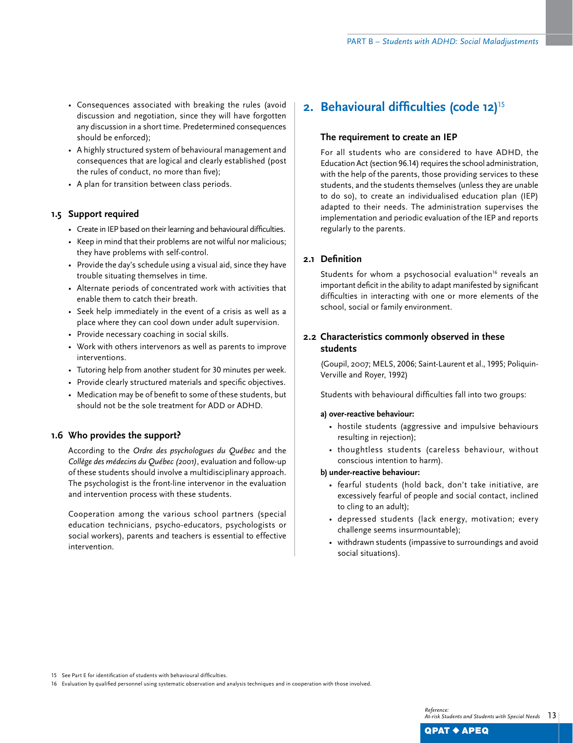- Consequences associated with breaking the rules (avoid discussion and negotiation, since they will have forgotten any discussion in a short time. Predetermined consequences should be enforced);
- A highly structured system of behavioural management and consequences that are logical and clearly established (post the rules of conduct, no more than five);
- A plan for transition between class periods.

## **1.5 Support required**

- Create in IEP based on their learning and behavioural difficulties.
- Keep in mind that their problems are not wilful nor malicious; they have problems with self-control.
- Provide the day's schedule using a visual aid, since they have trouble situating themselves in time.
- Alternate periods of concentrated work with activities that enable them to catch their breath.
- Seek help immediately in the event of a crisis as well as a place where they can cool down under adult supervision.
- Provide necessary coaching in social skills.
- Work with others intervenors as well as parents to improve interventions.
- Tutoring help from another student for 30 minutes per week.
- Provide clearly structured materials and specific objectives.
- Medication may be of benefit to some of these students, but should not be the sole treatment for ADD or ADHD.

## **1.6 Who provides the support?**

According to the *Ordre des psychologues du Québec* and the *Collège des médecins du Québec (2001)*, evaluation and follow-up of these students should involve a multidisciplinary approach. The psychologist is the front-line intervenor in the evaluation and intervention process with these students.

Cooperation among the various school partners (special education technicians, psycho-educators, psychologists or social workers), parents and teachers is essential to effective intervention.

## **2. Behavioural difficulties (code 12)**<sup>15</sup>

## **The requirement to create an IEP**

For all students who are considered to have ADHD, the Education Act (section 96.14) requires the school administration, with the help of the parents, those providing services to these students, and the students themselves (unless they are unable to do so), to create an individualised education plan (IEP) adapted to their needs. The administration supervises the implementation and periodic evaluation of the IEP and reports regularly to the parents.

## **2.1 Definition**

Students for whom a psychosocial evaluation<sup>16</sup> reveals an important deficit in the ability to adapt manifested by significant difficulties in interacting with one or more elements of the school, social or family environment.

## **2.2 Characteristics commonly observed in these students**

(Goupil, 2007; MELS, 2006; Saint-Laurent et al., 1995; Poliquin-Verville and Royer, 1992)

Students with behavioural difficulties fall into two groups:

#### **a) over-reactive behaviour:**

- hostile students (aggressive and impulsive behaviours resulting in rejection);
- thoughtless students (careless behaviour, without conscious intention to harm).

#### **b) under-reactive behaviour:**

- fearful students (hold back, don't take initiative, are excessively fearful of people and social contact, inclined to cling to an adult);
- depressed students (lack energy, motivation; every challenge seems insurmountable);
- withdrawn students (impassive to surroundings and avoid social situations).

15 See Part E for identification of students with behavioural difficulties.

16 Evaluation by qualified personnel using systematic observation and analysis techniques and in cooperation with those involved.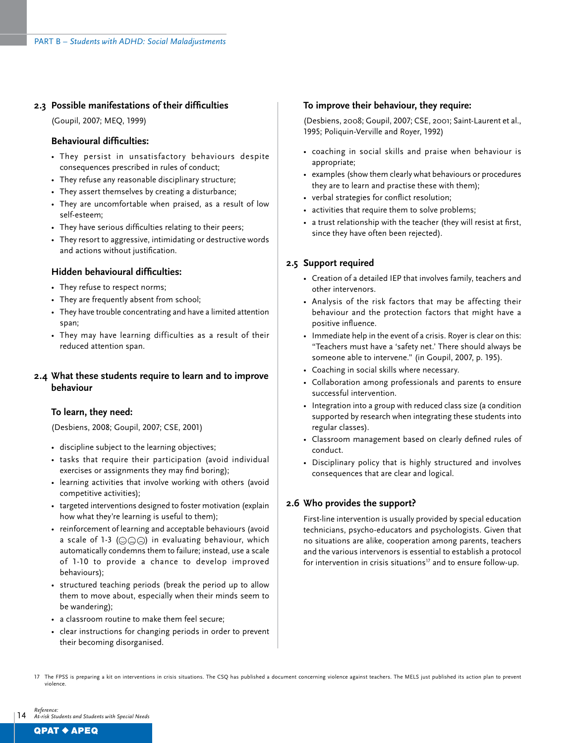## **2.3 Possible manifestations of their difficulties**

(Goupil, 2007; MEQ, 1999)

#### **Behavioural difficulties:**

- They persist in unsatisfactory behaviours despite consequences prescribed in rules of conduct;
- They refuse any reasonable disciplinary structure;
- They assert themselves by creating a disturbance;
- They are uncomfortable when praised, as a result of low self-esteem;
- They have serious difficulties relating to their peers;
- They resort to aggressive, intimidating or destructive words and actions without justification.

### **Hidden behavioural difficulties:**

- They refuse to respect norms;
- They are frequently absent from school;
- They have trouble concentrating and have a limited attention span;
- They may have learning difficulties as a result of their reduced attention span.

### **2.4 What these students require to learn and to improve behaviour**

#### **To learn, they need:**

(Desbiens, 2008; Goupil, 2007; CSE, 2001)

- discipline subject to the learning objectives;
- tasks that require their participation (avoid individual exercises or assignments they may find boring);
- learning activities that involve working with others (avoid competitive activities);
- targeted interventions designed to foster motivation (explain how what they're learning is useful to them);
- reinforcement of learning and acceptable behaviours (avoid a scale of 1-3 ( $\circledcirc \odot \circledcirc$ ) in evaluating behaviour, which automatically condemns them to failure; instead, use a scale of 1-10 to provide a chance to develop improved behaviours);
- structured teaching periods (break the period up to allow them to move about, especially when their minds seem to be wandering);
- a classroom routine to make them feel secure;
- clear instructions for changing periods in order to prevent their becoming disorganised.

#### **To improve their behaviour, they require:**

(Desbiens, 2008; Goupil, 2007; CSE, 2001; Saint-Laurent et al., 1995; Poliquin-Verville and Royer, 1992)

- coaching in social skills and praise when behaviour is appropriate;
- examples (show them clearly what behaviours or procedures they are to learn and practise these with them);
- verbal strategies for conflict resolution;
- activities that require them to solve problems;
- a trust relationship with the teacher (they will resist at first, since they have often been rejected).

### **2.5 Support required**

- Creation of a detailed IEP that involves family, teachers and other intervenors.
- Analysis of the risk factors that may be affecting their behaviour and the protection factors that might have a positive influence.
- Immediate help in the event of a crisis. Royer is clear on this: "Teachers must have a 'safety net.' There should always be someone able to intervene." (in Goupil, 2007, p. 195).
- Coaching in social skills where necessary.
- Collaboration among professionals and parents to ensure successful intervention.
- Integration into a group with reduced class size (a condition supported by research when integrating these students into regular classes).
- Classroom management based on clearly defined rules of conduct.
- Disciplinary policy that is highly structured and involves consequences that are clear and logical.

## **2.6 Who provides the support?**

First-line intervention is usually provided by special education technicians, psycho-educators and psychologists. Given that no situations are alike, cooperation among parents, teachers and the various intervenors is essential to establish a protocol for intervention in crisis situations<sup>17</sup> and to ensure follow-up.

<sup>14</sup> *Reference: At-risk Students and Students with Special Needs*

<sup>17</sup> The FPSS is preparing a kit on interventions in crisis situations. The CSQ has published a document concerning violence against teachers. The MELS just published its action plan to prevent violence.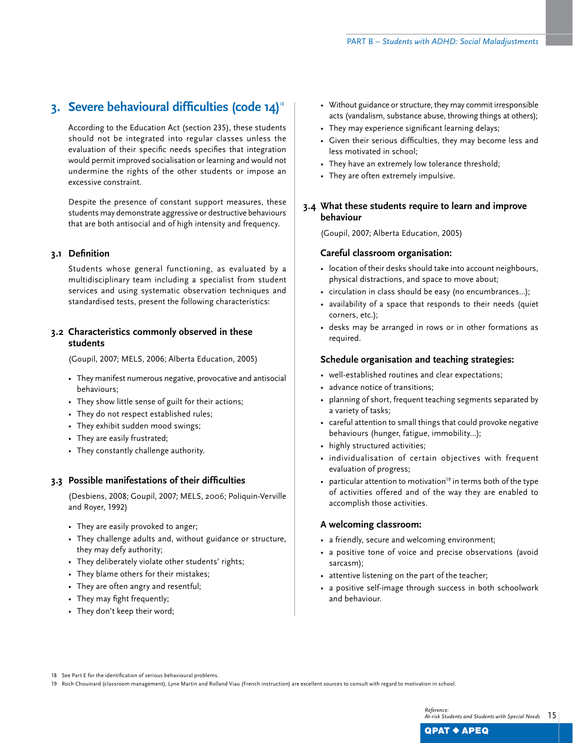## **3. Severe behavioural difficulties (code 14)**<sup>18</sup>

According to the Education Act (section 235), these students should not be integrated into regular classes unless the evaluation of their specific needs specifies that integration would permit improved socialisation or learning and would not undermine the rights of the other students or impose an excessive constraint.

Despite the presence of constant support measures, these students may demonstrate aggressive or destructive behaviours that are both antisocial and of high intensity and frequency.

## **3.1 Definition**

Students whose general functioning, as evaluated by a multidisciplinary team including a specialist from student services and using systematic observation techniques and standardised tests, present the following characteristics:

## **3.2 Characteristics commonly observed in these students**

(Goupil, 2007; MELS, 2006; Alberta Education, 2005)

- They manifest numerous negative, provocative and antisocial behaviours;
- They show little sense of guilt for their actions;
- They do not respect established rules;
- They exhibit sudden mood swings;
- They are easily frustrated;
- They constantly challenge authority.

#### **3.3 Possible manifestations of their difficulties**

(Desbiens, 2008; Goupil, 2007; MELS, 2006; Poliquin-Verville and Royer, 1992)

- They are easily provoked to anger;
- They challenge adults and, without guidance or structure, they may defy authority;
- They deliberately violate other students' rights;
- They blame others for their mistakes;
- They are often angry and resentful;
- They may fight frequently;
- They don't keep their word;
- Without guidance or structure, they may commit irresponsible acts (vandalism, substance abuse, throwing things at others);
- They may experience significant learning delays;
- Given their serious difficulties, they may become less and less motivated in school;
- They have an extremely low tolerance threshold;
- They are often extremely impulsive.

## **3.4 What these students require to learn and improve behaviour**

(Goupil, 2007; Alberta Education, 2005)

### **Careful classroom organisation:**

- location of their desks should take into account neighbours, physical distractions, and space to move about;
- circulation in class should be easy (no encumbrances...);
- availability of a space that responds to their needs (quiet corners, etc.);
- desks may be arranged in rows or in other formations as required.

#### **Schedule organisation and teaching strategies:**

- well-established routines and clear expectations;
- advance notice of transitions;
- planning of short, frequent teaching segments separated by a variety of tasks;
- careful attention to small things that could provoke negative behaviours (hunger, fatigue, immobility…);
- highly structured activities;
- individualisation of certain objectives with frequent evaluation of progress;
- particular attention to motivation<sup>19</sup> in terms both of the type of activities offered and of the way they are enabled to accomplish those activities.

## **A welcoming classroom:**

- a friendly, secure and welcoming environment;
- a positive tone of voice and precise observations (avoid sarcasm);
- attentive listening on the part of the teacher;
- a positive self-image through success in both schoolwork and behaviour.

18 See Part E for the identification of serious behavioural problems.

19 Roch Chouinard (classroom management), Lyne Martin and Rolland Viau (French instruction) are excellent sources to consult with regard to motivation in school.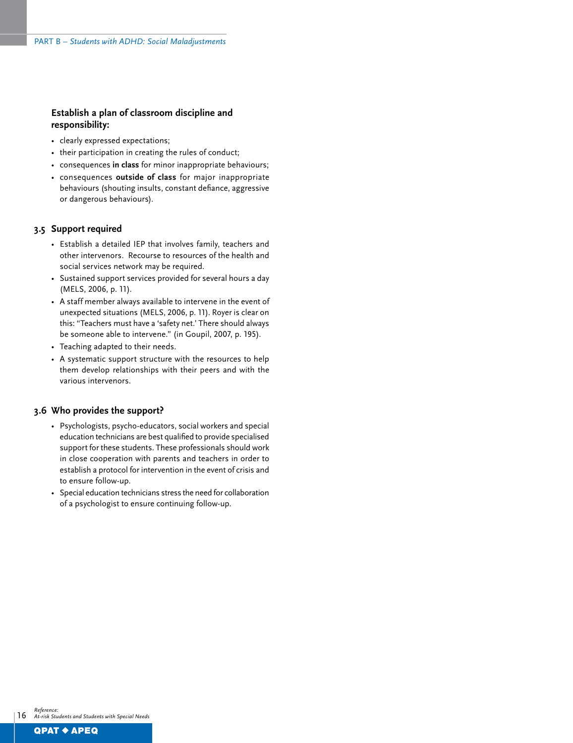## **Establish a plan of classroom discipline and responsibility:**

- clearly expressed expectations;
- their participation in creating the rules of conduct;
- consequences **in class** for minor inappropriate behaviours;
- consequences **outside of class** for major inappropriate behaviours (shouting insults, constant defiance, aggressive or dangerous behaviours).

#### **3.5 Support required**

- Establish a detailed IEP that involves family, teachers and other intervenors. Recourse to resources of the health and social services network may be required.
- Sustained support services provided for several hours a day (MELS, 2006, p. 11).
- A staff member always available to intervene in the event of unexpected situations (MELS, 2006, p. 11). Royer is clear on this: "Teachers must have a 'safety net.' There should always be someone able to intervene." (in Goupil, 2007, p. 195).
- Teaching adapted to their needs.
- A systematic support structure with the resources to help them develop relationships with their peers and with the various intervenors.

#### **3.6 Who provides the support?**

- Psychologists, psycho-educators, social workers and special education technicians are best qualified to provide specialised support for these students. These professionals should work in close cooperation with parents and teachers in order to establish a protocol for intervention in the event of crisis and to ensure follow-up.
- Special education technicians stress the need for collaboration of a psychologist to ensure continuing follow-up.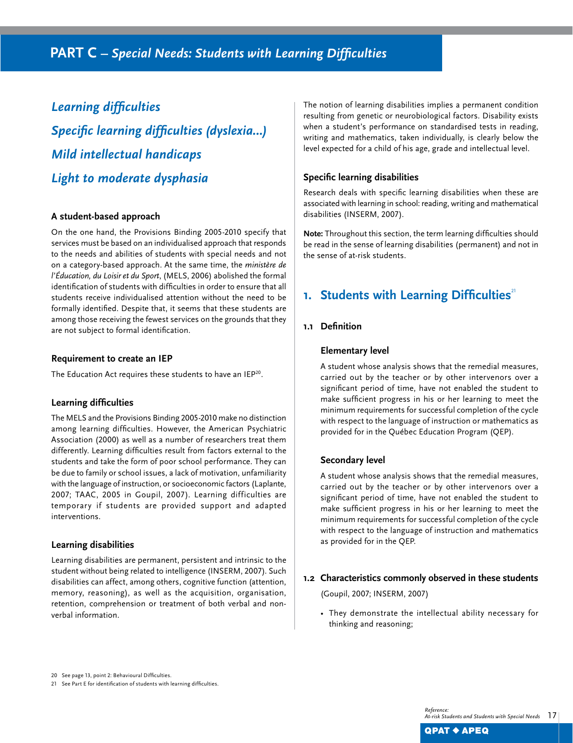*Learning difficulties Specific learning difficulties (dyslexia…) Mild intellectual handicaps Light to moderate dysphasia*

### **A student-based approach**

On the one hand, the Provisions Binding 2005-2010 specify that services must be based on an individualised approach that responds to the needs and abilities of students with special needs and not on a category-based approach. At the same time, the *ministère de l'Éducation, du Loisir et du Sport*, (MELS, 2006) abolished the formal identification of students with difficulties in order to ensure that all students receive individualised attention without the need to be formally identified. Despite that, it seems that these students are among those receiving the fewest services on the grounds that they are not subject to formal identification.

#### **Requirement to create an IEP**

The Education Act requires these students to have an IEP<sup>20</sup>.

#### **Learning difficulties**

The MELS and the Provisions Binding 2005-2010 make no distinction among learning difficulties. However, the American Psychiatric Association (2000) as well as a number of researchers treat them differently. Learning difficulties result from factors external to the students and take the form of poor school performance. They can be due to family or school issues, a lack of motivation, unfamiliarity with the language of instruction, or socioeconomic factors (Laplante, 2007; TAAC, 2005 in Goupil, 2007). Learning difficulties are temporary if students are provided support and adapted interventions.

#### **Learning disabilities**

Learning disabilities are permanent, persistent and intrinsic to the student without being related to intelligence (INSERM, 2007). Such disabilities can affect, among others, cognitive function (attention, memory, reasoning), as well as the acquisition, organisation, retention, comprehension or treatment of both verbal and nonverbal information.

The notion of learning disabilities implies a permanent condition resulting from genetic or neurobiological factors. Disability exists when a student's performance on standardised tests in reading, writing and mathematics, taken individually, is clearly below the level expected for a child of his age, grade and intellectual level.

## **Specific learning disabilities**

Research deals with specific learning disabilities when these are associated with learning in school: reading, writing and mathematical disabilities (INSERM, 2007).

**Note:** Throughout this section, the term learning difficulties should be read in the sense of learning disabilities (permanent) and not in the sense of at-risk students.

## **1. Students with Learning Difficulties**<sup>21</sup>

### **1.1 Definition**

#### **Elementary level**

A student whose analysis shows that the remedial measures, carried out by the teacher or by other intervenors over a significant period of time, have not enabled the student to make sufficient progress in his or her learning to meet the minimum requirements for successful completion of the cycle with respect to the language of instruction or mathematics as provided for in the Québec Education Program (QEP).

## **Secondary level**

A student whose analysis shows that the remedial measures, carried out by the teacher or by other intervenors over a significant period of time, have not enabled the student to make sufficient progress in his or her learning to meet the minimum requirements for successful completion of the cycle with respect to the language of instruction and mathematics as provided for in the QEP.

## **1.2 Characteristics commonly observed in these students**

(Goupil, 2007; INSERM, 2007)

• They demonstrate the intellectual ability necessary for thinking and reasoning;

<sup>20</sup> See page 13, point 2: Behavioural Difficulties.

<sup>21</sup> See Part E for identification of students with learning difficulties.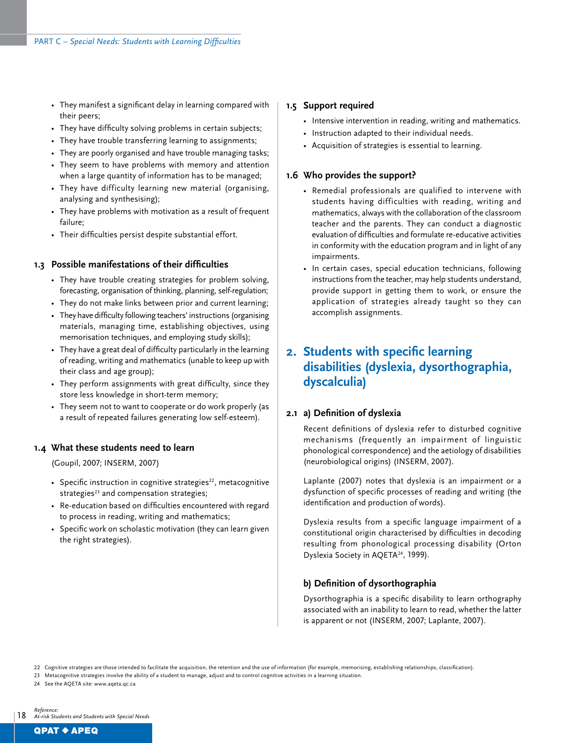- They manifest a significant delay in learning compared with their peers;
- They have difficulty solving problems in certain subjects;
- They have trouble transferring learning to assignments;
- They are poorly organised and have trouble managing tasks;
- They seem to have problems with memory and attention when a large quantity of information has to be managed;
- They have difficulty learning new material (organising, analysing and synthesising);
- They have problems with motivation as a result of frequent failure;
- Their difficulties persist despite substantial effort.

### **1.3 Possible manifestations of their difficulties**

- They have trouble creating strategies for problem solving, forecasting, organisation of thinking, planning, self-regulation;
- They do not make links between prior and current learning;
- They have difficulty following teachers' instructions (organising materials, managing time, establishing objectives, using memorisation techniques, and employing study skills);
- They have a great deal of difficulty particularly in the learning of reading, writing and mathematics (unable to keep up with their class and age group);
- They perform assignments with great difficulty, since they store less knowledge in short-term memory;
- They seem not to want to cooperate or do work properly (as a result of repeated failures generating low self-esteem).

#### **1.4 What these students need to learn**

(Goupil, 2007; INSERM, 2007)

- Specific instruction in cognitive strategies<sup>22</sup>, metacognitive strategies $23$  and compensation strategies;
- Re-education based on difficulties encountered with regard to process in reading, writing and mathematics;
- Specific work on scholastic motivation (they can learn given the right strategies).

#### **1.5 Support required**

- Intensive intervention in reading, writing and mathematics.
- Instruction adapted to their individual needs.
- Acquisition of strategies is essential to learning.

## **1.6 Who provides the support?**

- Remedial professionals are qualified to intervene with students having difficulties with reading, writing and mathematics, always with the collaboration of the classroom teacher and the parents. They can conduct a diagnostic evaluation of difficulties and formulate re-educative activities in conformity with the education program and in light of any impairments.
- In certain cases, special education technicians, following instructions from the teacher, may help students understand, provide support in getting them to work, or ensure the application of strategies already taught so they can accomplish assignments.

## **2. Students with specific learning disabilities (dyslexia, dysorthographia, dyscalculia)**

#### **2.1 a) Definition of dyslexia**

Recent definitions of dyslexia refer to disturbed cognitive mechanisms (frequently an impairment of linguistic phonological correspondence) and the aetiology of disabilities (neurobiological origins) (INSERM, 2007).

Laplante (2007) notes that dyslexia is an impairment or a dysfunction of specific processes of reading and writing (the identification and production of words).

Dyslexia results from a specific language impairment of a constitutional origin characterised by difficulties in decoding resulting from phonological processing disability (Orton Dyslexia Society in AQETA<sup>24</sup>, 1999).

## **b) Definition of dysorthographia**

Dysorthographia is a specific disability to learn orthography associated with an inability to learn to read, whether the latter is apparent or not (INSERM, 2007; Laplante, 2007).

22 Cognitive strategies are those intended to facilitate the acquisition, the retention and the use of information (for example, memorising, establishing relationships, classification).

23 Metacognitive strategies involve the ability of a student to manage, adjust and to control cognitive activities in a learning situation.

24 See the AQETA site: www.ageta.gc.ca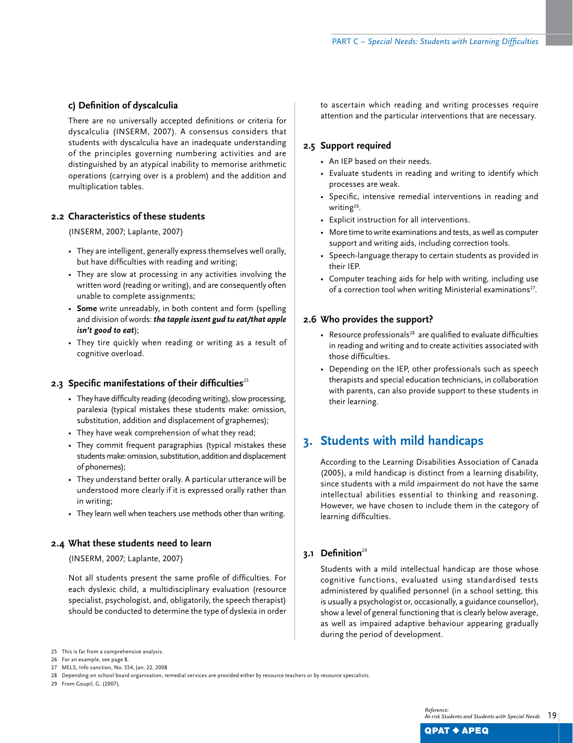## **c) Definition of dyscalculia**

There are no universally accepted definitions or criteria for dyscalculia (INSERM, 2007). A consensus considers that students with dyscalculia have an inadequate understanding of the principles governing numbering activities and are distinguished by an atypical inability to memorise arithmetic operations (carrying over is a problem) and the addition and multiplication tables.

### **2.2 Characteristics of these students**

(INSERM, 2007; Laplante, 2007)

- They are intelligent, generally express themselves well orally, but have difficulties with reading and writing;
- They are slow at processing in any activities involving the written word (reading or writing), and are consequently often unable to complete assignments;
- **Some** write unreadably, in both content and form (spelling and division of words: *tha tapple issent gud tu eat/that apple isn't good to eat*);
- They tire quickly when reading or writing as a result of cognitive overload.

#### 2.3 **Specific manifestations of their difficulties**<sup>25</sup>

- They have difficulty reading (decoding writing), slow processing, paralexia (typical mistakes these students make: omission, substitution, addition and displacement of graphemes);
- They have weak comprehension of what they read;
- They commit frequent paragraphias (typical mistakes these students make: omission, substitution, addition and displacement of phonemes);
- They understand better orally. A particular utterance will be understood more clearly if it is expressed orally rather than in writing;
- They learn well when teachers use methods other than writing.

#### **2.4 What these students need to learn**

(INSERM, 2007; Laplante, 2007)

Not all students present the same profile of difficulties. For each dyslexic child, a multidisciplinary evaluation (resource specialist, psychologist, and, obligatorily, the speech therapist) should be conducted to determine the type of dyslexia in order to ascertain which reading and writing processes require attention and the particular interventions that are necessary.

#### **2.5 Support required**

- An IEP based on their needs.
- Evaluate students in reading and writing to identify which processes are weak.
- Specific, intensive remedial interventions in reading and writing<sup>26</sup>.
- Explicit instruction for all interventions.
- More time to write examinations and tests, as well as computer support and writing aids, including correction tools.
- Speech-language therapy to certain students as provided in their IEP.
- Computer teaching aids for help with writing, including use of a correction tool when writing Ministerial examinations<sup>27</sup>.

#### **2.6 Who provides the support?**

- Resource professionals<sup>28</sup> are qualified to evaluate difficulties in reading and writing and to create activities associated with those difficulties.
- Depending on the IEP, other professionals such as speech therapists and special education technicians, in collaboration with parents, can also provide support to these students in their learning.

## **3. Students with mild handicaps**

According to the Learning Disabilities Association of Canada (2005), a mild handicap is distinct from a learning disability, since students with a mild impairment do not have the same intellectual abilities essential to thinking and reasoning. However, we have chosen to include them in the category of learning difficulties.

## 3.1 Definition<sup>29</sup>

Students with a mild intellectual handicap are those whose cognitive functions, evaluated using standardised tests administered by qualified personnel (in a school setting, this is usually a psychologist or, occasionally, a guidance counsellor), show a level of general functioning that is clearly below average, as well as impaired adaptive behaviour appearing gradually during the period of development.

29 From Goupil, G. (2007).

<sup>25</sup>  This is far from a comprehensive analysis.

<sup>26</sup> For an example, see page 8.

<sup>27</sup> MELS, Info sanction, No. 554, Jan. 22, 2008

<sup>28</sup> Depending on school board organisation, remedial services are provided either by resource teachers or by resource specialists.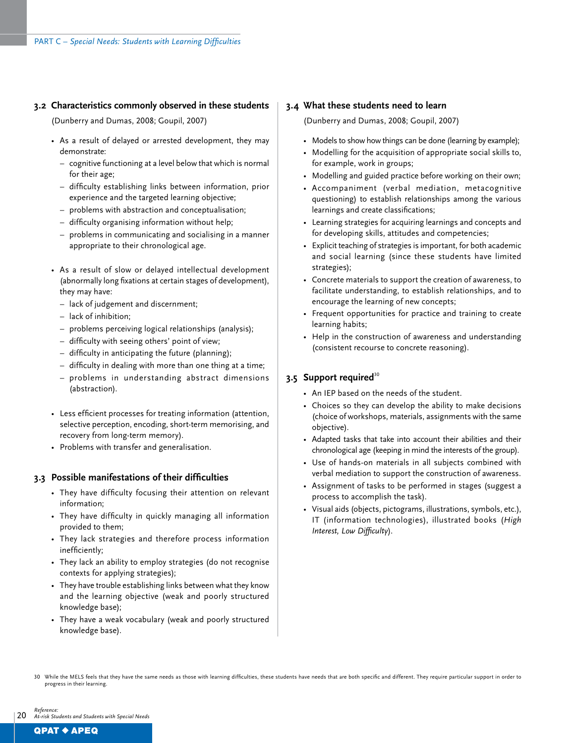### **3.2 Characteristics commonly observed in these students**

(Dunberry and Dumas, 2008; Goupil, 2007)

- As a result of delayed or arrested development, they may demonstrate:
	- cognitive functioning at a level below that which is normal for their age;
	- difficulty establishing links between information, prior experience and the targeted learning objective;
	- problems with abstraction and conceptualisation;
	- difficulty organising information without help;
	- problems in communicating and socialising in a manner appropriate to their chronological age.
- As a result of slow or delayed intellectual development (abnormally long fixations at certain stages of development), they may have:
	- lack of judgement and discernment;
	- lack of inhibition;
	- problems perceiving logical relationships (analysis);
	- difficulty with seeing others' point of view;
	- difficulty in anticipating the future (planning);
	- difficulty in dealing with more than one thing at a time;
	- problems in understanding abstract dimensions (abstraction).
- Less efficient processes for treating information (attention, selective perception, encoding, short-term memorising, and recovery from long-term memory).
- Problems with transfer and generalisation.

#### **3.3 Possible manifestations of their difficulties**

- They have difficulty focusing their attention on relevant information;
- They have difficulty in quickly managing all information provided to them;
- They lack strategies and therefore process information inefficiently;
- They lack an ability to employ strategies (do not recognise contexts for applying strategies);
- They have trouble establishing links between what they know and the learning objective (weak and poorly structured knowledge base);
- They have a weak vocabulary (weak and poorly structured knowledge base).

#### **3.4 What these students need to learn**

- (Dunberry and Dumas, 2008; Goupil, 2007)
- Models to show how things can be done (learning by example);
- modelling for the acquisition of appropriate social skills to, for example, work in groups;
- Modelling and guided practice before working on their own;
- accompaniment (verbal mediation, metacognitive questioning) to establish relationships among the various learnings and create classifications;
- learning strategies for acquiring learnings and concepts and for developing skills, attitudes and competencies;
- Explicit teaching of strategies is important, for both academic and social learning (since these students have limited strategies);
- concrete materials to support the creation of awareness, to facilitate understanding, to establish relationships, and to encourage the learning of new concepts;
- frequent opportunities for practice and training to create learning habits;
- help in the construction of awareness and understanding (consistent recourse to concrete reasoning).

### **3.5 Support required**<sup>30</sup>

- An IEP based on the needs of the student.
- Choices so they can develop the ability to make decisions (choice of workshops, materials, assignments with the same objective).
- Adapted tasks that take into account their abilities and their chronological age (keeping in mind the interests of the group).
- Use of hands-on materials in all subjects combined with verbal mediation to support the construction of awareness.
- Assignment of tasks to be performed in stages (suggest a process to accomplish the task).
- Visual aids (objects, pictograms, illustrations, symbols, etc.), IT (information technologies), illustrated books (*High Interest, Low Difficulty*).

<sup>20</sup> *Reference: At-risk Students and Students with Special Needs*

<sup>30</sup>  While the MELS feels that they have the same needs as those with learning difficulties, these students have needs that are both specific and different. They require particular support in order to progress in their learning.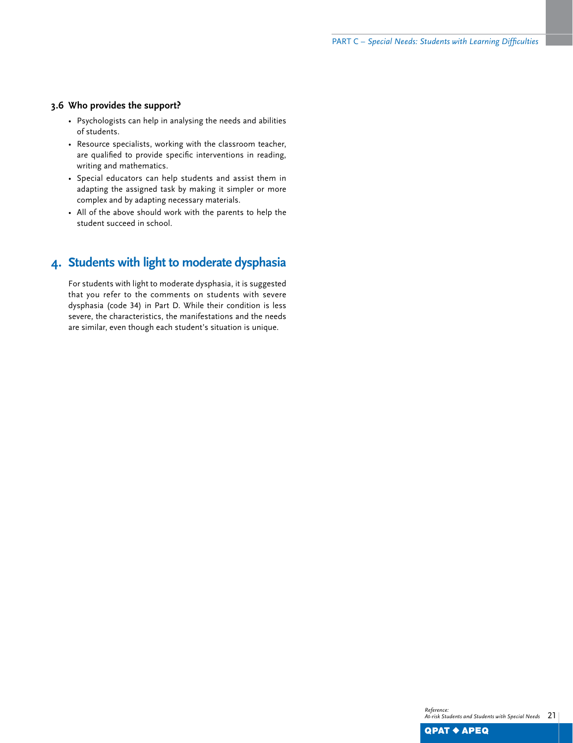### **3.6 Who provides the support?**

- Psychologists can help in analysing the needs and abilities of students.
- Resource specialists, working with the classroom teacher, are qualified to provide specific interventions in reading, writing and mathematics.
- Special educators can help students and assist them in adapting the assigned task by making it simpler or more complex and by adapting necessary materials.
- All of the above should work with the parents to help the student succeed in school.

## **4. Students with light to moderate dysphasia**

For students with light to moderate dysphasia, it is suggested that you refer to the comments on students with severe dysphasia (code 34) in Part D. While their condition is less severe, the characteristics, the manifestations and the needs are similar, even though each student's situation is unique.

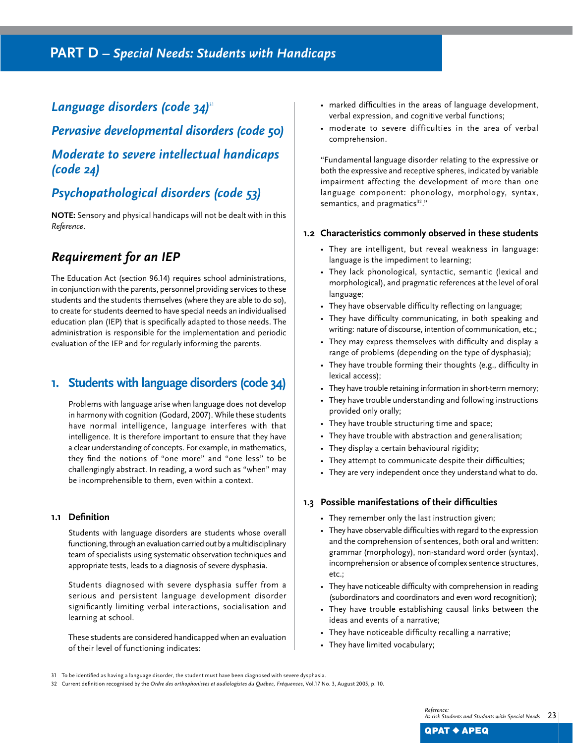## *Language disorders (code 34)*<sup>31</sup>

*Pervasive developmental disorders (code 50) Moderate to severe intellectual handicaps (code 24)*

## *Psychopathological disorders (code 53)*

**NOTE:** Sensory and physical handicaps will not be dealt with in this *Reference*.

## *Requirement for an IEP*

The Education Act (section 96.14) requires school administrations, in conjunction with the parents, personnel providing services to these students and the students themselves (where they are able to do so), to create for students deemed to have special needs an individualised education plan (IEP) that is specifically adapted to those needs. The administration is responsible for the implementation and periodic evaluation of the IEP and for regularly informing the parents.

## **1. Students with language disorders (code 34)**

Problems with language arise when language does not develop in harmony with cognition (Godard, 2007). While these students have normal intelligence, language interferes with that intelligence. It is therefore important to ensure that they have a clear understanding of concepts. For example, in mathematics, they find the notions of "one more" and "one less" to be challengingly abstract. In reading, a word such as "when" may be incomprehensible to them, even within a context.

## **1.1 Definition**

Students with language disorders are students whose overall functioning, through an evaluation carried out by a multidisciplinary team of specialists using systematic observation techniques and appropriate tests, leads to a diagnosis of severe dysphasia.

Students diagnosed with severe dysphasia suffer from a serious and persistent language development disorder significantly limiting verbal interactions, socialisation and learning at school.

These students are considered handicapped when an evaluation of their level of functioning indicates:

- marked difficulties in the areas of language development, verbal expression, and cognitive verbal functions;
- moderate to severe difficulties in the area of verbal comprehension.

"Fundamental language disorder relating to the expressive or both the expressive and receptive spheres, indicated by variable impairment affecting the development of more than one language component: phonology, morphology, syntax, semantics, and pragmatics<sup>32</sup>."

#### **1.2 Characteristics commonly observed in these students**

- They are intelligent, but reveal weakness in language: language is the impediment to learning;
- They lack phonological, syntactic, semantic (lexical and morphological), and pragmatic references at the level of oral language;
- They have observable difficulty reflecting on language;
- They have difficulty communicating, in both speaking and writing: nature of discourse, intention of communication, etc.;
- They may express themselves with difficulty and display a range of problems (depending on the type of dysphasia);
- They have trouble forming their thoughts (e.g., difficulty in lexical access);
- They have trouble retaining information in short-term memory;
- They have trouble understanding and following instructions provided only orally;
- They have trouble structuring time and space;
- They have trouble with abstraction and generalisation;
- They display a certain behavioural rigidity;
- They attempt to communicate despite their difficulties;
- They are very independent once they understand what to do.

#### **1.3 Possible manifestations of their difficulties**

- They remember only the last instruction given;
- They have observable difficulties with regard to the expression and the comprehension of sentences, both oral and written: grammar (morphology), non-standard word order (syntax), incomprehension or absence of complex sentence structures,  $etc.$
- They have noticeable difficulty with comprehension in reading (subordinators and coordinators and even word recognition);
- They have trouble establishing causal links between the ideas and events of a narrative;
- They have noticeable difficulty recalling a narrative;
- They have limited vocabulary;

<sup>31</sup> To be identified as having a language disorder, the student must have been diagnosed with severe dysphasia.

<sup>32</sup> Current definition recognised by the Ordre des orthophonistes et audiologistes du Québec, Fréquences, Vol.17 No. 3, August 2005, p. 10.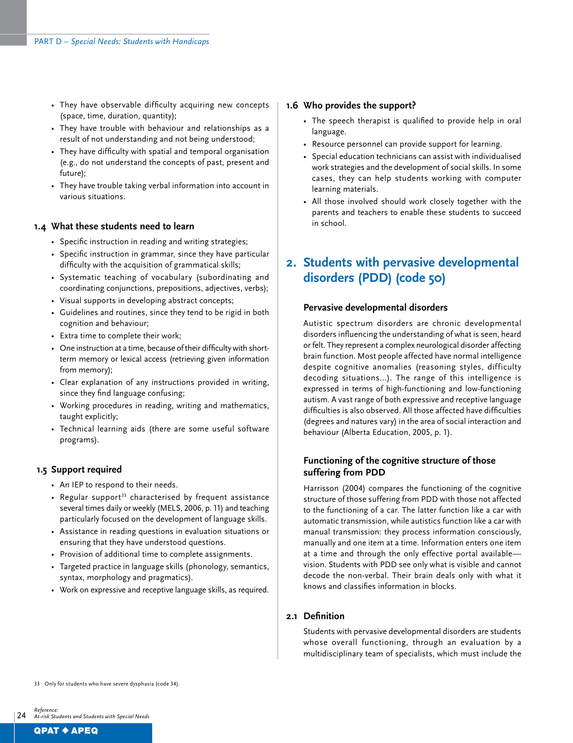- They have observable difficulty acquiring new concepts (space, time, duration, quantity);
- They have trouble with behaviour and relationships as a result of not understanding and not being understood;
- They have difficulty with spatial and temporal organisation (e.g., do not understand the concepts of past, present and future);
- They have trouble taking verbal information into account in various situations.

#### **1.4 What these students need to learn**

- Specific instruction in reading and writing strategies;
- Specific instruction in grammar, since they have particular difficulty with the acquisition of grammatical skills;
- Systematic teaching of vocabulary (subordinating and coordinating conjunctions, prepositions, adjectives, verbs);
- Visual supports in developing abstract concepts;
- Guidelines and routines, since they tend to be rigid in both cognition and behaviour;
- Extra time to complete their work;
- One instruction at a time, because of their difficulty with shortterm memory or lexical access (retrieving given information from memory);
- Clear explanation of any instructions provided in writing, since they find language confusing;
- Working procedures in reading, writing and mathematics, taught explicitly;
- Technical learning aids (there are some useful software programs).

#### **1.5 Support required**

- An IEP to respond to their needs.
- Regular support<sup>33</sup> characterised by frequent assistance several times daily or weekly (MELS, 2006, p. 11) and teaching particularly focused on the development of language skills.
- Assistance in reading questions in evaluation situations or ensuring that they have understood questions.
- Provision of additional time to complete assignments.
- Targeted practice in language skills (phonology, semantics, syntax, morphology and pragmatics).
- Work on expressive and receptive language skills, as required.

#### **1.6 Who provides the support?**

- The speech therapist is qualified to provide help in oral language.
- Resource personnel can provide support for learning.
- Special education technicians can assist with individualised work strategies and the development of social skills. In some cases, they can help students working with computer learning materials.
- All those involved should work closely together with the parents and teachers to enable these students to succeed in school.

## **2. Students with pervasive developmental disorders (PDD) (code 50)**

#### **Pervasive developmental disorders**

Autistic spectrum disorders are chronic developmental disorders influencing the understanding of what is seen, heard or felt. They represent a complex neurological disorder affecting brain function. Most people affected have normal intelligence despite cognitive anomalies (reasoning styles, difficulty decoding situations...). The range of this intelligence is expressed in terms of high-functioning and low-functioning autism. A vast range of both expressive and receptive language difficulties is also observed. All those affected have difficulties (degrees and natures vary) in the area of social interaction and behaviour (Alberta Education, 2005, p. 1).

## **Functioning of the cognitive structure of those suffering from PDD**

Harrisson (2004) compares the functioning of the cognitive structure of those suffering from PDD with those not affected to the functioning of a car. The latter function like a car with automatic transmission, while autistics function like a car with manual transmission: they process information consciously, manually and one item at a time. Information enters one item at a time and through the only effective portal available vision. Students with PDD see only what is visible and cannot decode the non-verbal. Their brain deals only with what it knows and classifies information in blocks.

### **2.1 Definition**

Students with pervasive developmental disorders are students whose overall functioning, through an evaluation by a multidisciplinary team of specialists, which must include the

33 Only for students who have severe dysphasia (code 34).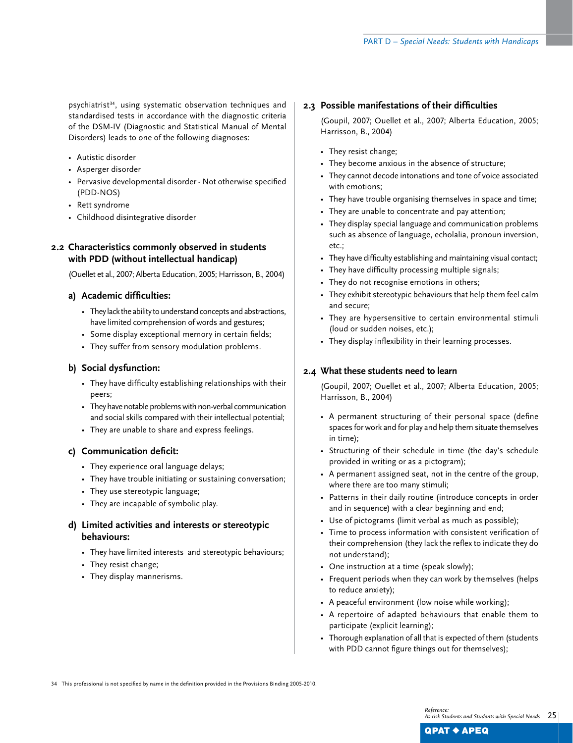psychiatrist<sup>34</sup>, using systematic observation techniques and standardised tests in accordance with the diagnostic criteria of the DSM-IV (Diagnostic and Statistical Manual of Mental Disorders) leads to one of the following diagnoses:

- Autistic disorder
- Asperger disorder
- Pervasive developmental disorder Not otherwise specified (PDD-NOS)
- Rett syndrome
- Childhood disintegrative disorder

## **2.2 Characteristics commonly observed in students with PDD (without intellectual handicap)**

(Ouellet et al., 2007; Alberta Education, 2005; Harrisson, B., 2004)

## **a) Academic difficulties:**

- They lack the ability to understand concepts and abstractions, have limited comprehension of words and gestures;
- Some display exceptional memory in certain fields;
- They suffer from sensory modulation problems.

## **b) Social dysfunction:**

- They have difficulty establishing relationships with their peers;
- They have notable problems with non-verbal communication and social skills compared with their intellectual potential;
- They are unable to share and express feelings.

#### **c) Communication deficit:**

- They experience oral language delays;
- They have trouble initiating or sustaining conversation;
- They use stereotypic language;
- They are incapable of symbolic play.

## **d) Limited activities and interests or stereotypic behaviours:**

- They have limited interests and stereotypic behaviours;
- They resist change;
- They display mannerisms.

#### **2.3 Possible manifestations of their difficulties**

(Goupil, 2007; Ouellet et al., 2007; Alberta Education, 2005; Harrisson, B., 2004)

- They resist change;
- They become anxious in the absence of structure;
- They cannot decode intonations and tone of voice associated with emotions;
- They have trouble organising themselves in space and time;
- They are unable to concentrate and pay attention;
- They display special language and communication problems such as absence of language, echolalia, pronoun inversion, etc.;
- They have difficulty establishing and maintaining visual contact;
- They have difficulty processing multiple signals;
- They do not recognise emotions in others;
- They exhibit stereotypic behaviours that help them feel calm and secure;
- They are hypersensitive to certain environmental stimuli (loud or sudden noises, etc.);
- They display inflexibility in their learning processes.

## **2.4 What these students need to learn**

(Goupil, 2007; Ouellet et al., 2007; Alberta Education, 2005; Harrisson, B., 2004)

- A permanent structuring of their personal space (define spaces for work and for play and help them situate themselves in time);
- Structuring of their schedule in time (the day's schedule provided in writing or as a pictogram);
- A permanent assigned seat, not in the centre of the group, where there are too many stimuli;
- Patterns in their daily routine (introduce concepts in order and in sequence) with a clear beginning and end;
- Use of pictograms (limit verbal as much as possible);
- Time to process information with consistent verification of their comprehension (they lack the reflex to indicate they do not understand);
- One instruction at a time (speak slowly);
- Frequent periods when they can work by themselves (helps to reduce anxiety);
- A peaceful environment (low noise while working);
- A repertoire of adapted behaviours that enable them to participate (explicit learning);
- Thorough explanation of all that is expected of them (students with PDD cannot figure things out for themselves);

34 This professional is not specified by name in the definition provided in the Provisions Binding 2005-2010.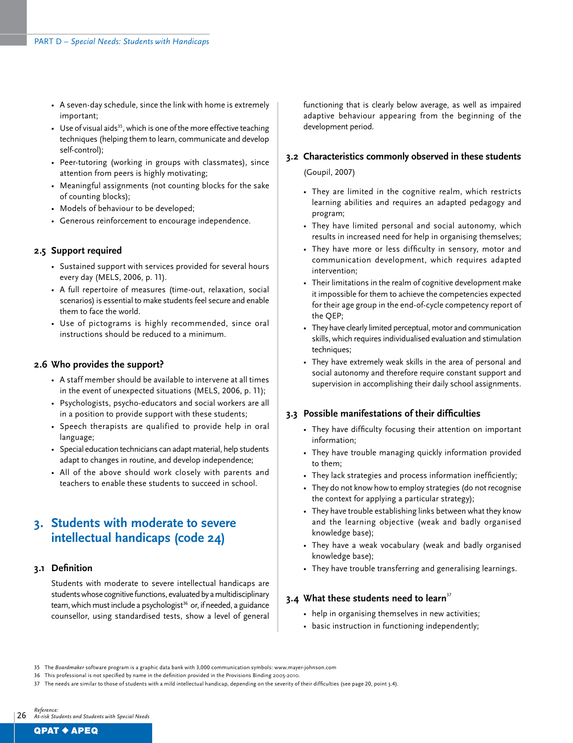- A seven-day schedule, since the link with home is extremely important;
- Use of visual aids<sup>35</sup>, which is one of the more effective teaching techniques (helping them to learn, communicate and develop self-control);
- Peer-tutoring (working in groups with classmates), since attention from peers is highly motivating;
- Meaningful assignments (not counting blocks for the sake of counting blocks);
- Models of behaviour to be developed;
- Generous reinforcement to encourage independence.

#### **2.5 Support required**

- Sustained support with services provided for several hours every day (MELS, 2006, p. 11).
- A full repertoire of measures (time-out, relaxation, social scenarios) is essential to make students feel secure and enable them to face the world.
- Use of pictograms is highly recommended, since oral instructions should be reduced to a minimum.

#### **2.6 Who provides the support?**

- A staff member should be available to intervene at all times in the event of unexpected situations (MELS, 2006, p. 11);
- Psychologists, psycho-educators and social workers are all in a position to provide support with these students;
- Speech therapists are qualified to provide help in oral language;
- Special education technicians can adapt material, help students adapt to changes in routine, and develop independence;
- All of the above should work closely with parents and teachers to enable these students to succeed in school.

## **3. Students with moderate to severe intellectual handicaps (code 24)**

#### **3.1 Definition**

Students with moderate to severe intellectual handicaps are students whose cognitive functions, evaluated by a multidisciplinary team, which must include a psychologist<sup>36</sup> or, if needed, a guidance counsellor, using standardised tests, show a level of general

functioning that is clearly below average, as well as impaired adaptive behaviour appearing from the beginning of the development period.

### **3.2 Characteristics commonly observed in these students**

(Goupil, 2007)

- They are limited in the cognitive realm, which restricts learning abilities and requires an adapted pedagogy and program;
- They have limited personal and social autonomy, which results in increased need for help in organising themselves;
- They have more or less difficulty in sensory, motor and communication development, which requires adapted intervention;
- Their limitations in the realm of cognitive development make it impossible for them to achieve the competencies expected for their age group in the end-of-cycle competency report of the QEP;
- They have clearly limited perceptual, motor and communication skills, which requires individualised evaluation and stimulation techniques;
- They have extremely weak skills in the area of personal and social autonomy and therefore require constant support and supervision in accomplishing their daily school assignments.

### **3.3 Possible manifestations of their difficulties**

- They have difficulty focusing their attention on important information;
- They have trouble managing quickly information provided to them;
- They lack strategies and process information inefficiently;
- They do not know how to employ strategies (do not recognise the context for applying a particular strategy);
- They have trouble establishing links between what they know and the learning objective (weak and badly organised knowledge base);
- They have a weak vocabulary (weak and badly organised knowledge base);
- They have trouble transferring and generalising learnings.

#### **3.4** What these students need to learn<sup>37</sup>

- help in organising themselves in new activities;
- basic instruction in functioning independently;

<sup>35</sup> The *Boardmaker* software program is a graphic data bank with 3,000 communication symbols: www.mayer-johnson.com

<sup>36</sup> This professional is not specified by name in the definition provided in the Provisions Binding 2005-2010.

<sup>37</sup> The needs are similar to those of students with a mild intellectual handicap, depending on the severity of their difficulties (see page 20, point 3.4).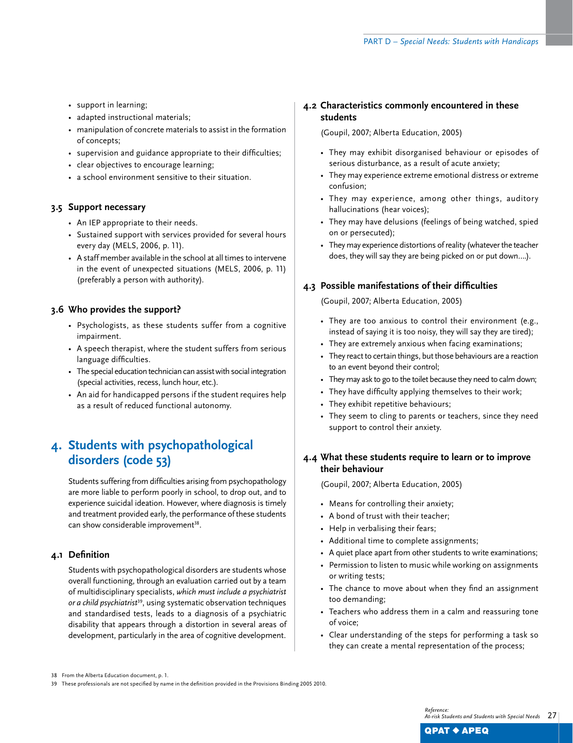- support in learning;
- adapted instructional materials;
- manipulation of concrete materials to assist in the formation of concepts;
- supervision and guidance appropriate to their difficulties;
- clear objectives to encourage learning;
- a school environment sensitive to their situation.

### **3.5 Support necessary**

- An IEP appropriate to their needs.
- Sustained support with services provided for several hours every day (MELS, 2006, p. 11).
- A staff member available in the school at all times to intervene in the event of unexpected situations (MELS, 2006, p. 11) (preferably a person with authority).

### **3.6 Who provides the support?**

- Psychologists, as these students suffer from a cognitive impairment.
- A speech therapist, where the student suffers from serious language difficulties.
- The special education technician can assist with social integration (special activities, recess, lunch hour, etc.).
- An aid for handicapped persons if the student requires help as a result of reduced functional autonomy.

## **4. Students with psychopathological disorders (code 53)**

Students suffering from difficulties arising from psychopathology are more liable to perform poorly in school, to drop out, and to experience suicidal ideation. However, where diagnosis is timely and treatment provided early, the performance of these students can show considerable improvement<sup>38</sup>.

## **4.1 Definition**

Students with psychopathological disorders are students whose overall functioning, through an evaluation carried out by a team of multidisciplinary specialists, *which must include a psychiatrist or a child psychiatrist*<sup>39</sup>, using systematic observation techniques and standardised tests, leads to a diagnosis of a psychiatric disability that appears through a distortion in several areas of development, particularly in the area of cognitive development.

## **4.2 Characteristics commonly encountered in these students**

(Goupil, 2007; Alberta Education, 2005)

- They may exhibit disorganised behaviour or episodes of serious disturbance, as a result of acute anxiety;
- They may experience extreme emotional distress or extreme confusion;
- They may experience, among other things, auditory hallucinations (hear voices);
- They may have delusions (feelings of being watched, spied on or persecuted);
- They may experience distortions of reality (whatever the teacher does, they will say they are being picked on or put down….).

## **4.3 Possible manifestations of their difficulties**

(Goupil, 2007; Alberta Education, 2005)

- They are too anxious to control their environment (e.g., instead of saying it is too noisy, they will say they are tired);
- They are extremely anxious when facing examinations;
- They react to certain things, but those behaviours are a reaction to an event beyond their control;
- They may ask to go to the toilet because they need to calm down;
- They have difficulty applying themselves to their work;
- They exhibit repetitive behaviours;
- They seem to cling to parents or teachers, since they need support to control their anxiety.

## **4.4 What these students require to learn or to improve their behaviour**

(Goupil, 2007; Alberta Education, 2005)

- Means for controlling their anxiety;
- A bond of trust with their teacher;
- Help in verbalising their fears;
- Additional time to complete assignments;
- A quiet place apart from other students to write examinations;
- Permission to listen to music while working on assignments or writing tests;
- The chance to move about when they find an assignment too demanding;
- Teachers who address them in a calm and reassuring tone of voice;
- Clear understanding of the steps for performing a task so they can create a mental representation of the process;

39 These professionals are not specified by name in the definition provided in the Provisions Binding 2005 2010.

<sup>38</sup>  From the Alberta Education document, p. 1.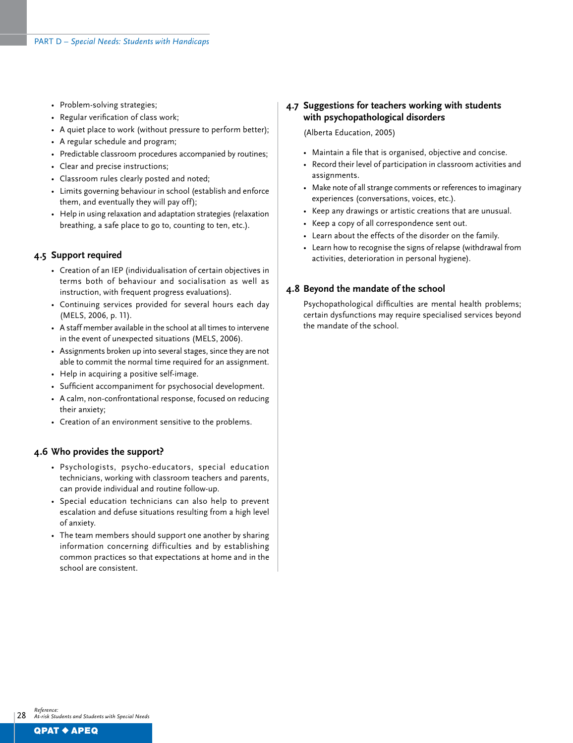- Problem-solving strategies;
- Regular verification of class work;
- A quiet place to work (without pressure to perform better);
- A regular schedule and program;
- Predictable classroom procedures accompanied by routines;
- Clear and precise instructions;
- Classroom rules clearly posted and noted;
- Limits governing behaviour in school (establish and enforce them, and eventually they will pay off);
- Help in using relaxation and adaptation strategies (relaxation breathing, a safe place to go to, counting to ten, etc.).

#### **4.5 Support required**

- Creation of an IEP (individualisation of certain objectives in terms both of behaviour and socialisation as well as instruction, with frequent progress evaluations).
- Continuing services provided for several hours each day (MELS, 2006, p. 11).
- A staff member available in the school at all times to intervene in the event of unexpected situations (MELS, 2006).
- Assignments broken up into several stages, since they are not able to commit the normal time required for an assignment.
- Help in acquiring a positive self-image.
- Sufficient accompaniment for psychosocial development.
- A calm, non-confrontational response, focused on reducing their anxiety;
- Creation of an environment sensitive to the problems.

#### **4.6 Who provides the support?**

- Psychologists, psycho-educators, special education technicians, working with classroom teachers and parents, can provide individual and routine follow-up.
- Special education technicians can also help to prevent escalation and defuse situations resulting from a high level of anxiety.
- The team members should support one another by sharing information concerning difficulties and by establishing common practices so that expectations at home and in the school are consistent.

## **4.7 Suggestions for teachers working with students with psychopathological disorders**

(Alberta Education, 2005)

- Maintain a file that is organised, objective and concise.
- Record their level of participation in classroom activities and assignments.
- Make note of all strange comments or references to imaginary experiences (conversations, voices, etc.).
- Keep any drawings or artistic creations that are unusual.
- Keep a copy of all correspondence sent out.
- Learn about the effects of the disorder on the family.
- Learn how to recognise the signs of relapse (withdrawal from activities, deterioration in personal hygiene).

### **4.8 Beyond the mandate of the school**

Psychopathological difficulties are mental health problems; certain dysfunctions may require specialised services beyond the mandate of the school.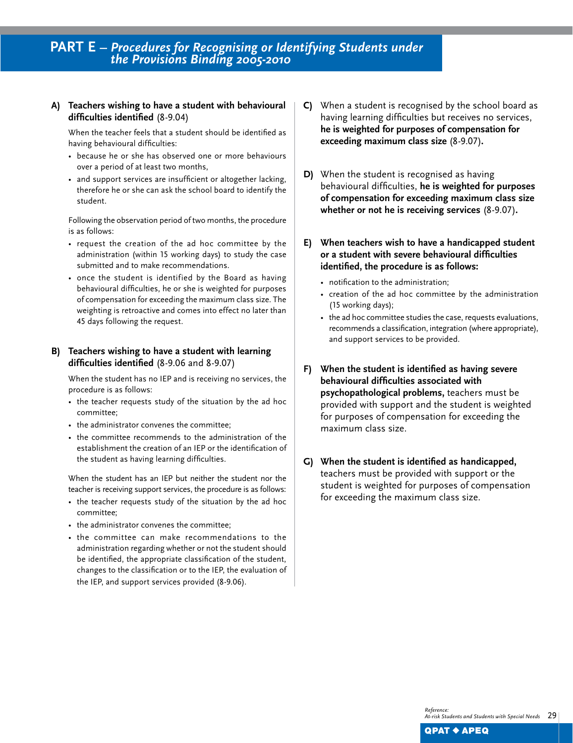## **A) Teachers wishing to have a student with behavioural difficulties identified** (8-9.04)

When the teacher feels that a student should be identified as having behavioural difficulties:

- because he or she has observed one or more behaviours over a period of at least two months,
- and support services are insufficient or altogether lacking, therefore he or she can ask the school board to identify the student.

Following the observation period of two months, the procedure is as follows:

- request the creation of the ad hoc committee by the administration (within 15 working days) to study the case submitted and to make recommendations.
- once the student is identified by the Board as having behavioural difficulties, he or she is weighted for purposes of compensation for exceeding the maximum class size. The weighting is retroactive and comes into effect no later than 45 days following the request.

## **B) Teachers wishing to have a student with learning difficulties identified** (8-9.06 and 8-9.07)

When the student has no IEP and is receiving no services, the procedure is as follows:

- the teacher requests study of the situation by the ad hoc committee;
- the administrator convenes the committee;
- the committee recommends to the administration of the establishment the creation of an IEP or the identification of the student as having learning difficulties.

When the student has an IEP but neither the student nor the teacher is receiving support services, the procedure is as follows:

- the teacher requests study of the situation by the ad hoc committee;
- the administrator convenes the committee;
- the committee can make recommendations to the administration regarding whether or not the student should be identified, the appropriate classification of the student, changes to the classification or to the IEP, the evaluation of the IEP, and support services provided (8-9.06).
- **C)** When a student is recognised by the school board as having learning difficulties but receives no services, **he is weighted for purposes of compensation for exceeding maximum class size** (8-9.07)**.**
- **D)** When the student is recognised as having behavioural difficulties, **he is weighted for purposes of compensation for exceeding maximum class size whether or not he is receiving services** (8-9.07)**.**
- **E) When teachers wish to have a handicapped student or a student with severe behavioural difficulties identified, the procedure is as follows:**
	- notification to the administration;
	- creation of the ad hoc committee by the administration (15 working days);
	- the ad hoc committee studies the case, requests evaluations, recommends a classification, integration (where appropriate), and support services to be provided.
- **F) When the student is identified as having severe behavioural difficulties associated with psychopathological problems,** teachers must be provided with support and the student is weighted for purposes of compensation for exceeding the maximum class size.
- **G) When the student is identified as handicapped,**  teachers must be provided with support or the student is weighted for purposes of compensation for exceeding the maximum class size.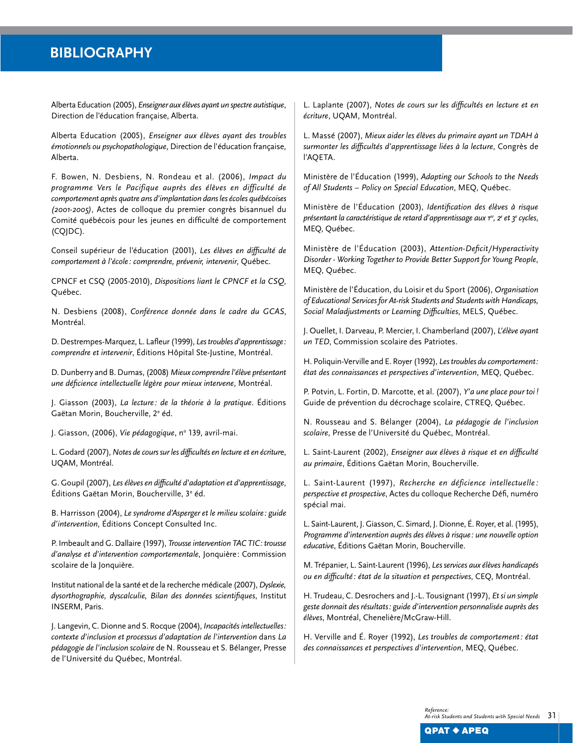## **Bibliography**

Alberta Education (2005), *Enseigner aux élèves ayant un spectre autistique*, Direction de l'éducation française, Alberta.

Alberta Education (2005), *Enseigner aux élèves ayant des troubles émotionnels ou psychopathologique*, Direction de l'éducation française, Alberta.

F. Bowen, N. Desbiens, N. Rondeau et al. (2006), *Impact du programme Vers le Pacifique auprès des élèves en difficulté de comportement après quatre ans d'implantation dans les écoles québécoises (2001-2005)*, Actes de colloque du premier congrès bisannuel du Comité québécois pour les jeunes en difficulté de comportement (CQJDC).

Conseil supérieur de l'éducation (2001), *Les élèves en difficulté de comportement à l'école : comprendre, prévenir, intervenir*, Québec.

CPNCF et CSQ (2005-2010), *Dispositions liant le CPNCF et la CSQ*, Québec.

N. Desbiens (2008), *Conférence donnée dans le cadre du GCAS*, Montréal.

D. Destrempes-Marquez, L. Lafleur (1999), *Les troubles d'apprentissage: comprendre et intervenir*, Éditions Hôpital Ste-Justine, Montréal.

D. Dunberry and B. Dumas, (2008) *Mieux comprendre l'élève présentant une déficience intellectuelle légère pour mieux intervene*, Montréal.

J. Giasson (2003), *La lecture : de la théorie à la pratique*. Éditions Gaëtan Morin, Boucherville, 2<sup>e</sup> éd.

J. Giasson, (2006), *Vie pédagogique*, nº 139, avril-mai.

L. Godard (2007), *Notes de cours sur les difficultés en lecture et en écritur*e, UQAM, Montréal.

G. Goupil (2007), *Les élèves en difficulté d'adaptation et d'apprentissage*, Éditions Gaëtan Morin, Boucherville, 3<sup>e</sup> éd.

B. Harrisson (2004), *Le syndrome d'Asperger et le milieu scolaire : guide d'intervention*, Éditions Concept Consulted Inc.

P. Imbeault and G. Dallaire (1997), *Trousse intervention TAC TIC: trousse d'analyse et d'intervention comportementale*, Jonquière: Commission scolaire de la Jonquière.

Institut national de la santé et de la recherche médicale (2007), *Dyslexie, dysorthographie, dyscalculie, Bilan des données scientifiques*, Institut INSERM, Paris.

J. Langevin, C. Dionne and S. Rocque (2004), *Incapacités intellectuelles: contexte d'inclusion et processus d'adaptation de l'intervention* dans *La pédagogie de l'inclusion scolaire* de N. Rousseau et S. Bélanger, Presse de l'Université du Québec, Montréal.

L. Laplante (2007), *Notes de cours sur les difficultés en lecture et en écriture*, UQAM, Montréal.

L. Massé (2007), *Mieux aider les élèves du primaire ayant un TDAH à surmonter les difficultés d'apprentissage liées à la lecture*, Congrès de l'AQETA.

Ministère de l'Éducation (1999), *Adapting our Schools to the Needs of All Students – Policy on Special Education*, MEQ, Québec.

Ministère de l'Éducation (2003), *Identification des élèves à risque présentant la caractéristique de retard d'apprentissage aux 1er, 2e et 3e cycles*, MEQ, Québec.

Ministère de l'Éducation (2003), *Attention-Deficit/Hyperactivity Disorder - Working Together to Provide Better Support for Young People*, MEQ, Québec.

Ministère de l'Éducation, du Loisir et du Sport (2006), *Organisation of Educational Services for At-risk Students and Students with Handicaps, Social Maladjustments or Learning Difficulties*, MELS, Québec.

J. Ouellet, I. Darveau, P. Mercier, I. Chamberland (2007), *L'élève ayant un TED*, Commission scolaire des Patriotes.

H. Poliquin-Verville and E. Royer (1992), *Les troubles du comportement: état des connaissances et perspectives d'intervention*, MEQ, Québec.

P. Potvin, L. Fortin, D. Marcotte, et al. (2007), *Y'a une place pour toi!* Guide de prévention du décrochage scolaire, CTREQ, Québec.

N. Rousseau and S. Bélanger (2004), *La pédagogie de l'inclusion scolaire*, Presse de l'Université du Québec, Montréal.

L. Saint-Laurent (2002), *Enseigner aux élèves à risque et en difficulté au primaire*, Éditions Gaëtan Morin, Boucherville.

L. Saint-Laurent (1997), *Recherche en déficience intellectuelle : perspective et prospective*, Actes du colloque Recherche Défi, numéro spécial mai.

L. Saint-Laurent, J. Giasson, C. Simard, J. Dionne, É. Royer, et al. (1995), *Programme d'intervention auprès des élèves à risque: une nouvelle option educative*, Éditions Gaëtan Morin, Boucherville.

M. Trépanier, L. Saint-Laurent (1996), *Les services aux élèves handicapés ou en difficulté : état de la situation et perspectives*, CEQ, Montréal.

H. Trudeau, C. Desrochers and J.-L. Tousignant (1997), *Et si un simple geste donnait des résultats: guide d'intervention personnalisée auprès des élèves*, Montréal, Chenelière/McGraw-Hill.

H. Verville and É. Royer (1992), *Les troubles de comportement: état des connaissances et perspectives d'intervention*, MEQ, Québec.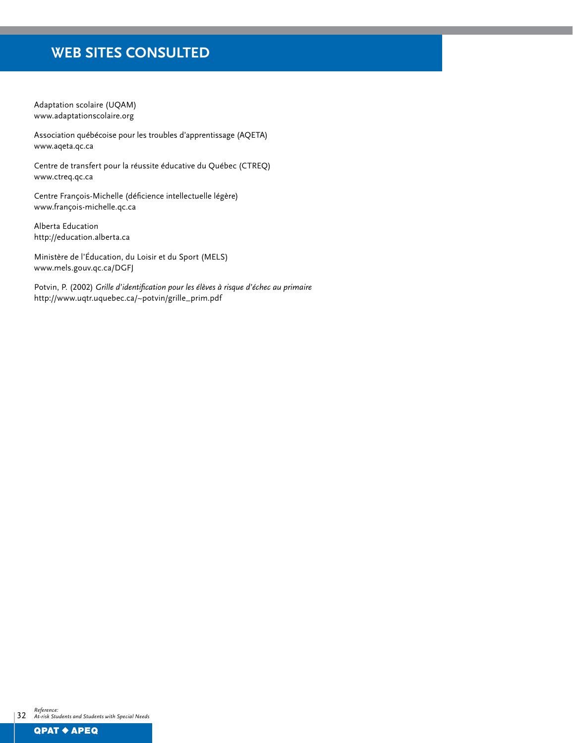## **Web Sites Consulted**

Adaptation scolaire (UQAM) www.adaptationscolaire.org

Association québécoise pour les troubles d'apprentissage (AQETA) www.aqeta.qc.ca

Centre de transfert pour la réussite éducative du Québec (CTREQ) www.ctreq.qc.ca

Centre François-Michelle (déficience intellectuelle légère) www.françois-michelle.qc.ca

Alberta Education http://education.alberta.ca

Ministère de l'Éducation, du Loisir et du Sport (MELS) www.mels.gouv.qc.ca/DGFJ

Potvin, P. (2002) *Grille d'identification pour les élèves à risque d'échec au primaire* http://www.uqtr.uquebec.ca/~potvin/grille\_prim.pdf